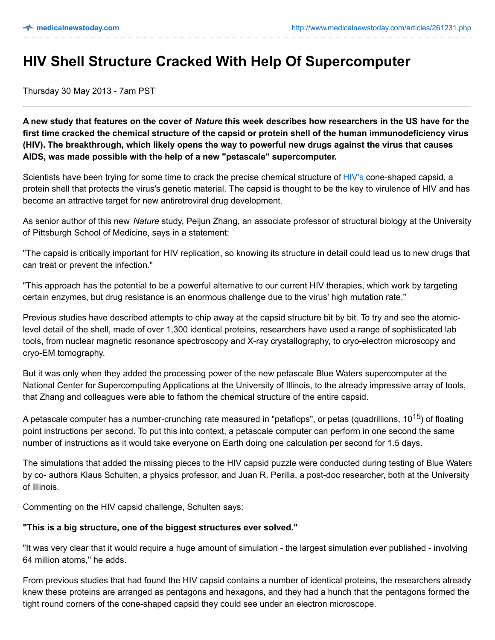## **HIV Shell Structure Cracked With Help Of Supercomputer**

Thursday 30 May 2013 - 7am PST

A new study that features on the cover of Nature this week describes how researchers in the US have for the first time cracked the chemical structure of the capsid or protein shell of the human immunodeficiency virus **(HIV). The breakthrough, which likely opens the way to powerful new drugs against the virus that causes AIDS, was made possible with the help of a new "petascale" supercomputer.**

Scientists have been trying for some time to crack the precise chemical structure of [HIV's](http://www.medicalnewstoday.com/articles/17131.php) cone-shaped capsid, a protein shell that protects the virus's genetic material. The capsid is thought to be the key to virulence of HIV and has become an attractive target for new antiretroviral drug development.

As senior author of this new *Nature* study, Peijun Zhang, an associate professor of structural biology at the University of Pittsburgh School of Medicine, says in a statement:

"The capsid is critically important for HIV replication, so knowing its structure in detail could lead us to new drugs that can treat or prevent the infection."

"This approach has the potential to be a powerful alternative to our current HIV therapies, which work by targeting certain enzymes, but drug resistance is an enormous challenge due to the virus' high mutation rate."

Previous studies have described attempts to chip away at the capsid structure bit by bit. To try and see the atomiclevel detail of the shell, made of over 1,300 identical proteins, researchers have used a range of sophisticated lab tools, from nuclear magnetic resonance spectroscopy and X-ray crystallography, to cryo-electron microscopy and cryo-EM tomography.

But it was only when they added the processing power of the new petascale Blue Waters supercomputer at the National Center for Supercomputing Applications at the University of Illinois, to the already impressive array of tools, that Zhang and colleagues were able to fathom the chemical structure of the entire capsid.

A petascale computer has a number-crunching rate measured in "petaflops", or petas (quadrillions, 10<sup>15</sup>) of floating point instructions per second. To put this into context, a petascale computer can perform in one second the same number of instructions as it would take everyone on Earth doing one calculation per second for 1.5 days.

The simulations that added the missing pieces to the HIV capsid puzzle were conducted during testing of Blue Waters by co- authors Klaus Schulten, a physics professor, and Juan R. Perilla, a post-doc researcher, both at the University of Illinois.

Commenting on the HIV capsid challenge, Schulten says:

## **"This is a big structure, one of the biggest structures ever solved."**

"It was very clear that it would require a huge amount of simulation - the largest simulation ever published - involving 64 million atoms," he adds.

From previous studies that had found the HIV capsid contains a number of identical proteins, the researchers already knew these proteins are arranged as pentagons and hexagons, and they had a hunch that the pentagons formed the tight round corners of the cone-shaped capsid they could see under an electron microscope.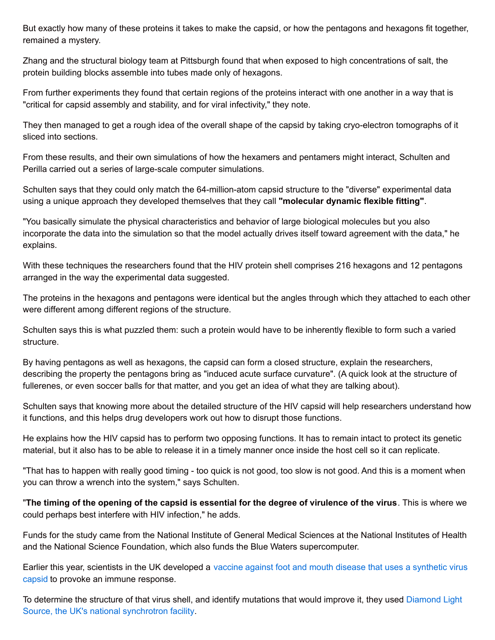But exactly how many of these proteins it takes to make the capsid, or how the pentagons and hexagons fit together, remained a mystery.

Zhang and the structural biology team at Pittsburgh found that when exposed to high concentrations of salt, the protein building blocks assemble into tubes made only of hexagons.

From further experiments they found that certain regions of the proteins interact with one another in a way that is "critical for capsid assembly and stability, and for viral infectivity," they note.

They then managed to get a rough idea of the overall shape of the capsid by taking cryo-electron tomographs of it sliced into sections.

From these results, and their own simulations of how the hexamers and pentamers might interact, Schulten and Perilla carried out a series of large-scale computer simulations.

Schulten says that they could only match the 64-million-atom capsid structure to the "diverse" experimental data using a unique approach they developed themselves that they call **"molecular dynamic flexible fitting"**.

"You basically simulate the physical characteristics and behavior of large biological molecules but you also incorporate the data into the simulation so that the model actually drives itself toward agreement with the data," he explains.

With these techniques the researchers found that the HIV protein shell comprises 216 hexagons and 12 pentagons arranged in the way the experimental data suggested.

The proteins in the hexagons and pentagons were identical but the angles through which they attached to each other were different among different regions of the structure.

Schulten says this is what puzzled them: such a protein would have to be inherently flexible to form such a varied structure.

By having pentagons as well as hexagons, the capsid can form a closed structure, explain the researchers, describing the property the pentagons bring as "induced acute surface curvature". (A quick look at the structure of fullerenes, or even soccer balls for that matter, and you get an idea of what they are talking about).

Schulten says that knowing more about the detailed structure of the HIV capsid will help researchers understand how it functions, and this helps drug developers work out how to disrupt those functions.

He explains how the HIV capsid has to perform two opposing functions. It has to remain intact to protect its genetic material, but it also has to be able to release it in a timely manner once inside the host cell so it can replicate.

"That has to happen with really good timing - too quick is not good, too slow is not good. And this is a moment when you can throw a wrench into the system," says Schulten.

"The timing of the opening of the capsid is essential for the degree of virulence of the virus. This is where we could perhaps best interfere with HIV infection," he adds.

Funds for the study came from the National Institute of General Medical Sciences at the National Institutes of Health and the National Science Foundation, which also funds the Blue Waters supercomputer.

Earlier this year, scientists in the UK [developed](http://www.medicalnewstoday.com/articles/258378.php) a vaccine against foot and mouth disease that uses a synthetic virus capsid to provoke an immune response.

To determine the structure of that virus shell, and identify mutations that would improve it, they used Diamond Light Source, the UK's national [synchrotron](http://www.medicalnewstoday.com/articles/256513.php) facility.